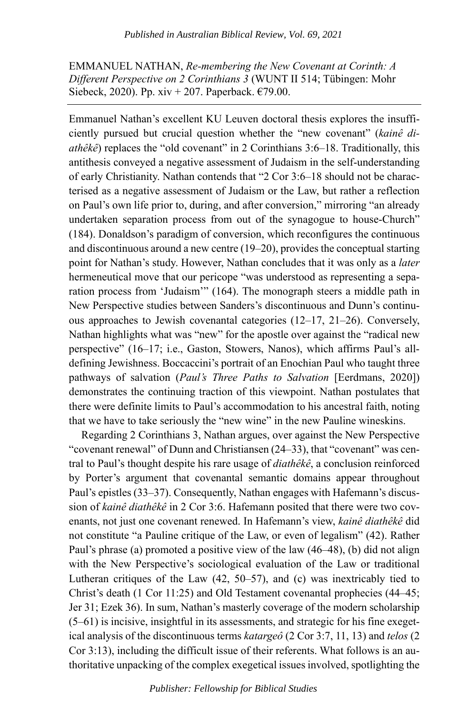EMMANUEL NATHAN, *Re-membering the New Covenant at Corinth: A Different Perspective on 2 Corinthians 3* (WUNT II 514; Tübingen: Mohr Siebeck, 2020). Pp. xiv + 207. Paperback.  $€79.00$ .

Emmanuel Nathan's excellent KU Leuven doctoral thesis explores the insufficiently pursued but crucial question whether the "new covenant" (*kainê diathêkê*) replaces the "old covenant" in 2 Corinthians 3:6–18. Traditionally, this antithesis conveyed a negative assessment of Judaism in the self-understanding of early Christianity. Nathan contends that "2 Cor 3:6–18 should not be characterised as a negative assessment of Judaism or the Law, but rather a reflection on Paul's own life prior to, during, and after conversion," mirroring "an already undertaken separation process from out of the synagogue to house-Church" (184). Donaldson's paradigm of conversion, which reconfigures the continuous and discontinuous around a new centre (19–20), provides the conceptual starting point for Nathan's study. However, Nathan concludes that it was only as a *later* hermeneutical move that our pericope "was understood as representing a separation process from 'Judaism'" (164). The monograph steers a middle path in New Perspective studies between Sanders's discontinuous and Dunn's continuous approaches to Jewish covenantal categories (12–17, 21–26). Conversely, Nathan highlights what was "new" for the apostle over against the "radical new perspective" (16–17; i.e., Gaston, Stowers, Nanos), which affirms Paul's alldefining Jewishness. Boccaccini's portrait of an Enochian Paul who taught three pathways of salvation (*Paul's Three Paths to Salvation* [Eerdmans, 2020]) demonstrates the continuing traction of this viewpoint. Nathan postulates that there were definite limits to Paul's accommodation to his ancestral faith, noting that we have to take seriously the "new wine" in the new Pauline wineskins.

Regarding 2 Corinthians 3, Nathan argues, over against the New Perspective "covenant renewal" of Dunn and Christiansen (24–33), that "covenant" was central to Paul's thought despite his rare usage of *diathêkê*, a conclusion reinforced by Porter's argument that covenantal semantic domains appear throughout Paul's epistles (33–37). Consequently, Nathan engages with Hafemann's discussion of *kainê diathêkê* in 2 Cor 3:6. Hafemann posited that there were two covenants, not just one covenant renewed. In Hafemann's view, *kainê diathêkê* did not constitute "a Pauline critique of the Law, or even of legalism" (42). Rather Paul's phrase (a) promoted a positive view of the law (46–48), (b) did not align with the New Perspective's sociological evaluation of the Law or traditional Lutheran critiques of the Law (42, 50–57), and (c) was inextricably tied to Christ's death (1 Cor 11:25) and Old Testament covenantal prophecies (44–45; Jer 31; Ezek 36). In sum, Nathan's masterly coverage of the modern scholarship (5–61) is incisive, insightful in its assessments, and strategic for his fine exegetical analysis of the discontinuous terms *katargeô* (2 Cor 3:7, 11, 13) and *telos* (2 Cor 3:13), including the difficult issue of their referents. What follows is an authoritative unpacking of the complex exegetical issues involved, spotlighting the